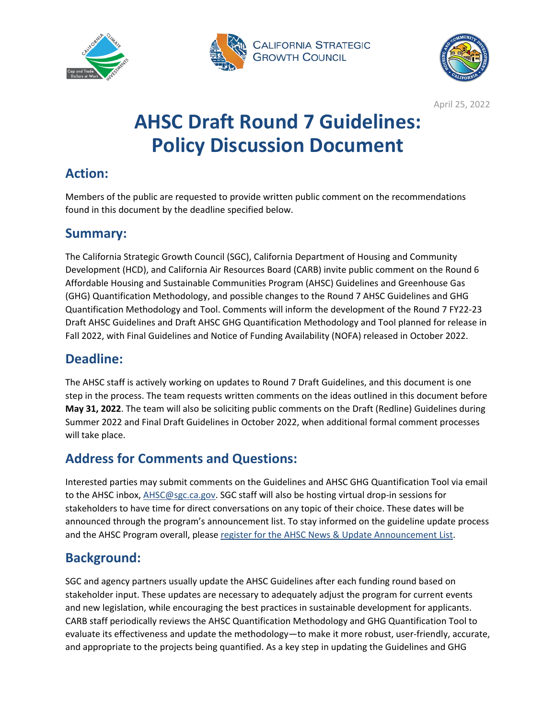





# **AHSC Draft Round 7 Guidelines: Policy Discussion Document**

# **Action:**

Members of the public are requested to provide written public comment on the recommendations found in this document by the deadline specified below.

# **Summary:**

The California Strategic Growth Council (SGC), California Department of Housing and Community Development (HCD), and California Air Resources Board (CARB) invite public comment on the Round 6 Affordable Housing and Sustainable Communities Program (AHSC) Guidelines and Greenhouse Gas (GHG) Quantification Methodology, and possible changes to the Round 7 AHSC Guidelines and GHG Quantification Methodology and Tool. Comments will inform the development of the Round 7 FY22-23 Draft AHSC Guidelines and Draft AHSC GHG Quantification Methodology and Tool planned for release in Fall 2022, with Final Guidelines and Notice of Funding Availability (NOFA) released in October 2022.

# **Deadline:**

The AHSC staff is actively working on updates to Round 7 Draft Guidelines, and this document is one step in the process. The team requests written comments on the ideas outlined in this document before **May 31, 2022**. The team will also be soliciting public comments on the Draft (Redline) Guidelines during Summer 2022 and Final Draft Guidelines in October 2022, when additional formal comment processes will take place.

# **Address for Comments and Questions:**

Interested parties may submit comments on the Guidelines and AHSC GHG Quantification Tool via email to the AHSC inbox, [AHSC@sgc.ca.gov.](mailto:AHSC@sgc.ca.gov) SGC staff will also be hosting virtual drop-in sessions for stakeholders to have time for direct conversations on any topic of their choice. These dates will be announced through the program's announcement list. To stay informed on the guideline update process and the AHSC Program overall, please [register for the AHSC News & Update Announcement List.](https://visitor.r20.constantcontact.com/manage/optin?v=001CnSfPwTFppayjlK2qgl4EsXU1DzmZjCEMWa0rJi2o4ZkB9e6phFRqG_KCGPOZ0cpMCbWMRFbU1KXXYzxxQmDFXfbFLOpd7AYtL9Skb6TZ-LZjAgAh424iCDsD8oi2yyXxEzI5aULpNBVBcJTd9dFlA%3D%3D)

# **Background:**

SGC and agency partners usually update the AHSC Guidelines after each funding round based on stakeholder input. These updates are necessary to adequately adjust the program for current events and new legislation, while encouraging the best practices in sustainable development for applicants. CARB staff periodically reviews the AHSC Quantification Methodology and GHG Quantification Tool to evaluate its effectiveness and update the methodology—to make it more robust, user-friendly, accurate, and appropriate to the projects being quantified. As a key step in updating the Guidelines and GHG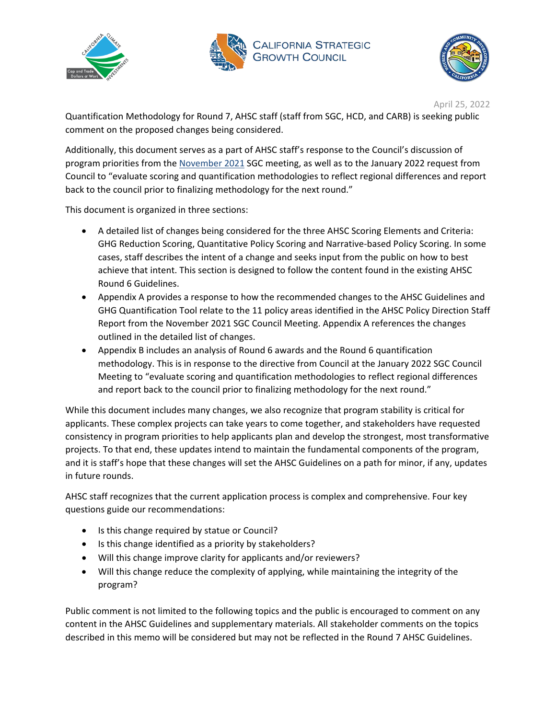





Quantification Methodology for Round 7, AHSC staff (staff from SGC, HCD, and CARB) is seeking public comment on the proposed changes being considered.

Additionally, this document serves as a part of AHSC staff's response to the Council's discussion of program priorities from the [November 2021](https://sgc.ca.gov/meetings/council/2021/docs/20211116-Item7_AHSC_Policy_Direction_Staff_Report.pdf) SGC meeting, as well as to the January 2022 request from Council to "evaluate scoring and quantification methodologies to reflect regional differences and report back to the council prior to finalizing methodology for the next round."

This document is organized in three sections:

- A detailed list of changes being considered for the three AHSC Scoring Elements and Criteria: GHG Reduction Scoring, Quantitative Policy Scoring and Narrative-based Policy Scoring. In some cases, staff describes the intent of a change and seeks input from the public on how to best achieve that intent. This section is designed to follow the content found in the existing AHSC Round 6 Guidelines.
- Appendix A provides a response to how the recommended changes to the AHSC Guidelines and GHG Quantification Tool relate to the 11 policy areas identified in the AHSC Policy Direction Staff Report from the November 2021 SGC Council Meeting. Appendix A references the changes outlined in the detailed list of changes.
- Appendix B includes an analysis of Round 6 awards and the Round 6 quantification methodology. This is in response to the directive from Council at the January 2022 SGC Council Meeting to "evaluate scoring and quantification methodologies to reflect regional differences and report back to the council prior to finalizing methodology for the next round."

While this document includes many changes, we also recognize that program stability is critical for applicants. These complex projects can take years to come together, and stakeholders have requested consistency in program priorities to help applicants plan and develop the strongest, most transformative projects. To that end, these updates intend to maintain the fundamental components of the program, and it is staff's hope that these changes will set the AHSC Guidelines on a path for minor, if any, updates in future rounds.

AHSC staff recognizes that the current application process is complex and comprehensive. Four key questions guide our recommendations:

- Is this change required by statue or Council?
- Is this change identified as a priority by stakeholders?
- Will this change improve clarity for applicants and/or reviewers?
- Will this change reduce the complexity of applying, while maintaining the integrity of the program?

Public comment is not limited to the following topics and the public is encouraged to comment on any content in the AHSC Guidelines and supplementary materials. All stakeholder comments on the topics described in this memo will be considered but may not be reflected in the Round 7 AHSC Guidelines.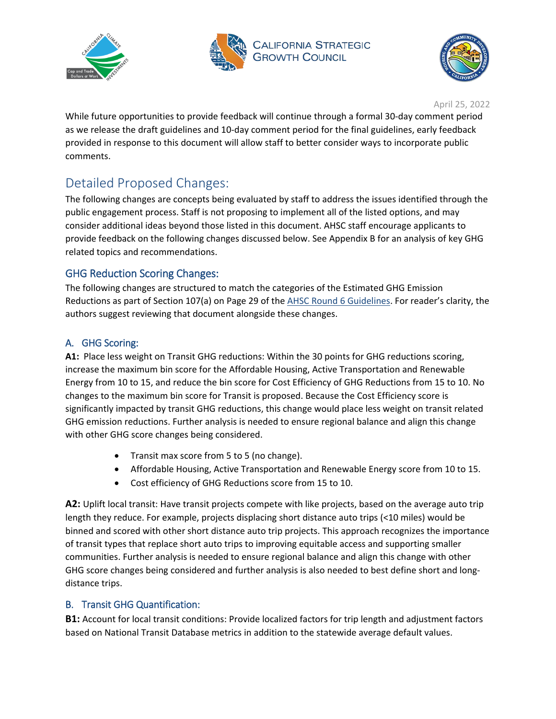





While future opportunities to provide feedback will continue through a formal 30-day comment period as we release the draft guidelines and 10-day comment period for the final guidelines, early feedback provided in response to this document will allow staff to better consider ways to incorporate public comments.

# Detailed Proposed Changes:

The following changes are concepts being evaluated by staff to address the issues identified through the public engagement process. Staff is not proposing to implement all of the listed options, and may consider additional ideas beyond those listed in this document. AHSC staff encourage applicants to provide feedback on the following changes discussed below. See Appendix B for an analysis of key GHG related topics and recommendations.

# GHG Reduction Scoring Changes:

The following changes are structured to match the categories of the Estimated GHG Emission Reductions as part of Section 107(a) on Page 29 of the [AHSC Round 6 Guidelines.](https://sgc.ca.gov/meetings/council/2021/docs/20210224-AHSC_Round_6_Guidelines.pdf) For reader's clarity, the authors suggest reviewing that document alongside these changes.

# A. GHG Scoring:

**A1:** Place less weight on Transit GHG reductions: Within the 30 points for GHG reductions scoring, increase the maximum bin score for the Affordable Housing, Active Transportation and Renewable Energy from 10 to 15, and reduce the bin score for Cost Efficiency of GHG Reductions from 15 to 10. No changes to the maximum bin score for Transit is proposed. Because the Cost Efficiency score is significantly impacted by transit GHG reductions, this change would place less weight on transit related GHG emission reductions. Further analysis is needed to ensure regional balance and align this change with other GHG score changes being considered.

- Transit max score from 5 to 5 (no change).
- Affordable Housing, Active Transportation and Renewable Energy score from 10 to 15.
- Cost efficiency of GHG Reductions score from 15 to 10.

A2: Uplift local transit: Have transit projects compete with like projects, based on the average auto trip length they reduce. For example, projects displacing short distance auto trips (<10 miles) would be binned and scored with other short distance auto trip projects. This approach recognizes the importance of transit types that replace short auto trips to improving equitable access and supporting smaller communities. Further analysis is needed to ensure regional balance and align this change with other GHG score changes being considered and further analysis is also needed to best define short and longdistance trips.

# B. Transit GHG Quantification:

**B1:** Account for local transit conditions: Provide localized factors for trip length and adjustment factors based on National Transit Database metrics in addition to the statewide average default values.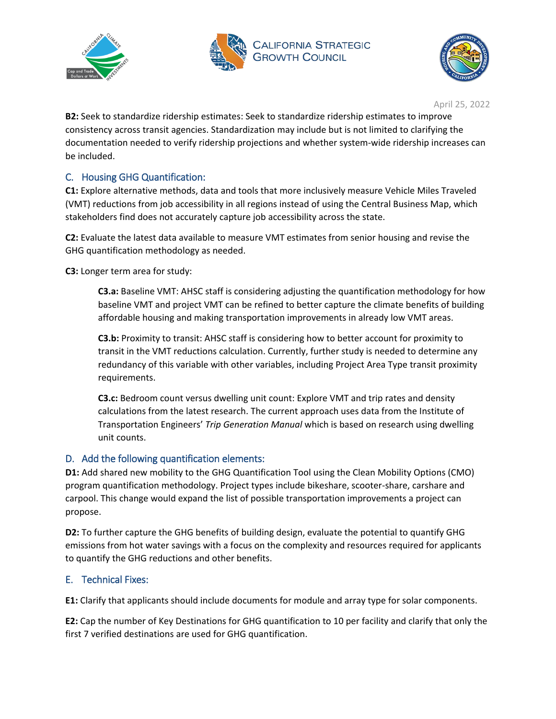





**B2:** Seek to standardize ridership estimates: Seek to standardize ridership estimates to improve consistency across transit agencies. Standardization may include but is not limited to clarifying the documentation needed to verify ridership projections and whether system-wide ridership increases can be included.

# C. Housing GHG Quantification:

**C1:** Explore alternative methods, data and tools that more inclusively measure Vehicle Miles Traveled (VMT) reductions from job accessibility in all regions instead of using the Central Business Map, which stakeholders find does not accurately capture job accessibility across the state.

**C2:** Evaluate the latest data available to measure VMT estimates from senior housing and revise the GHG quantification methodology as needed.

**C3:** Longer term area for study:

**C3.a:** Baseline VMT: AHSC staff is considering adjusting the quantification methodology for how baseline VMT and project VMT can be refined to better capture the climate benefits of building affordable housing and making transportation improvements in already low VMT areas.

**C3.b:** Proximity to transit: AHSC staff is considering how to better account for proximity to transit in the VMT reductions calculation. Currently, further study is needed to determine any redundancy of this variable with other variables, including Project Area Type transit proximity requirements.

**C3.c:** Bedroom count versus dwelling unit count: Explore VMT and trip rates and density calculations from the latest research. The current approach uses data from the Institute of Transportation Engineers' *Trip Generation Manual* which is based on research using dwelling unit counts.

### D. Add the following quantification elements:

**D1:** Add shared new mobility to the GHG Quantification Tool using the Clean Mobility Options (CMO) program quantification methodology. Project types include bikeshare, scooter-share, carshare and carpool. This change would expand the list of possible transportation improvements a project can propose.

**D2:** To further capture the GHG benefits of building design, evaluate the potential to quantify GHG emissions from hot water savings with a focus on the complexity and resources required for applicants to quantify the GHG reductions and other benefits.

# E. Technical Fixes:

**E1:** Clarify that applicants should include documents for module and array type for solar components.

**E2:** Cap the number of Key Destinations for GHG quantification to 10 per facility and clarify that only the first 7 verified destinations are used for GHG quantification.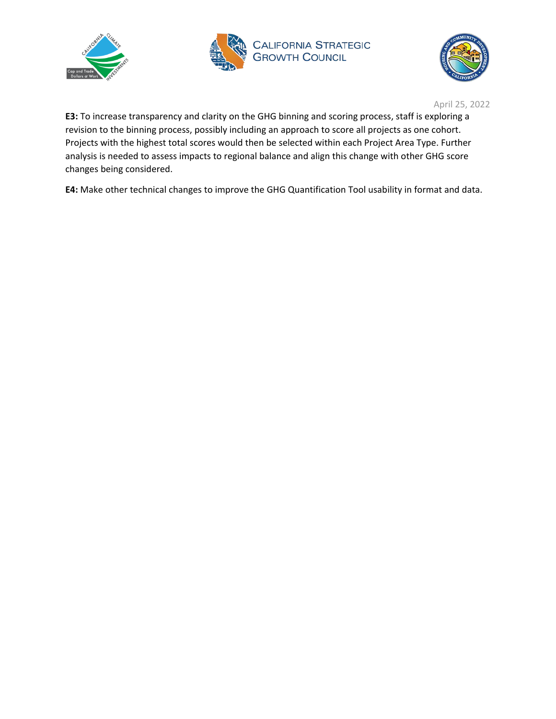





**E3:** To increase transparency and clarity on the GHG binning and scoring process, staff is exploring a revision to the binning process, possibly including an approach to score all projects as one cohort. Projects with the highest total scores would then be selected within each Project Area Type. Further analysis is needed to assess impacts to regional balance and align this change with other GHG score changes being considered.

**E4:** Make other technical changes to improve the GHG Quantification Tool usability in format and data.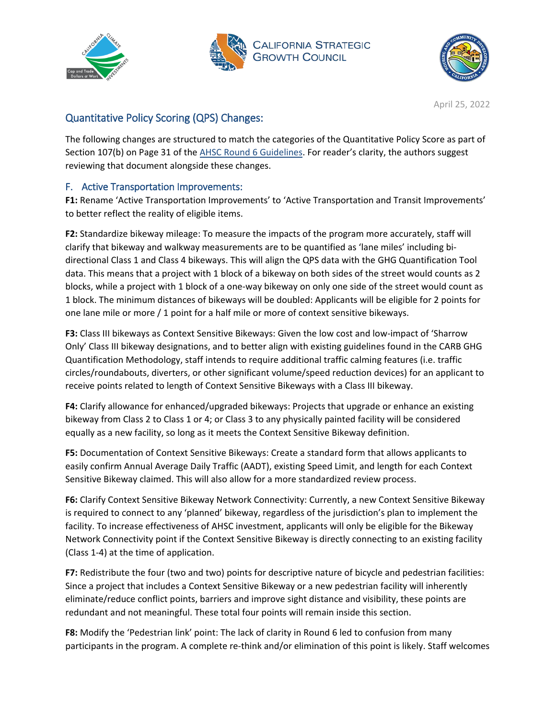





# Quantitative Policy Scoring (QPS) Changes:

The following changes are structured to match the categories of the Quantitative Policy Score as part of Section 107(b) on Page 31 of the [AHSC Round 6 Guidelines.](https://sgc.ca.gov/meetings/council/2021/docs/20210224-AHSC_Round_6_Guidelines.pdf) For reader's clarity, the authors suggest reviewing that document alongside these changes.

# F. Active Transportation Improvements:

**F1:** Rename 'Active Transportation Improvements' to 'Active Transportation and Transit Improvements' to better reflect the reality of eligible items.

**F2:** Standardize bikeway mileage: To measure the impacts of the program more accurately, staff will clarify that bikeway and walkway measurements are to be quantified as 'lane miles' including bidirectional Class 1 and Class 4 bikeways. This will align the QPS data with the GHG Quantification Tool data. This means that a project with 1 block of a bikeway on both sides of the street would counts as 2 blocks, while a project with 1 block of a one-way bikeway on only one side of the street would count as 1 block. The minimum distances of bikeways will be doubled: Applicants will be eligible for 2 points for one lane mile or more / 1 point for a half mile or more of context sensitive bikeways.

**F3:** Class III bikeways as Context Sensitive Bikeways: Given the low cost and low-impact of 'Sharrow Only' Class III bikeway designations, and to better align with existing guidelines found in the CARB GHG Quantification Methodology, staff intends to require additional traffic calming features (i.e. traffic circles/roundabouts, diverters, or other significant volume/speed reduction devices) for an applicant to receive points related to length of Context Sensitive Bikeways with a Class III bikeway.

**F4:** Clarify allowance for enhanced/upgraded bikeways: Projects that upgrade or enhance an existing bikeway from Class 2 to Class 1 or 4; or Class 3 to any physically painted facility will be considered equally as a new facility, so long as it meets the Context Sensitive Bikeway definition.

**F5:** Documentation of Context Sensitive Bikeways: Create a standard form that allows applicants to easily confirm Annual Average Daily Traffic (AADT), existing Speed Limit, and length for each Context Sensitive Bikeway claimed. This will also allow for a more standardized review process.

**F6:** Clarify Context Sensitive Bikeway Network Connectivity: Currently, a new Context Sensitive Bikeway is required to connect to any 'planned' bikeway, regardless of the jurisdiction's plan to implement the facility. To increase effectiveness of AHSC investment, applicants will only be eligible for the Bikeway Network Connectivity point if the Context Sensitive Bikeway is directly connecting to an existing facility (Class 1-4) at the time of application.

**F7:** Redistribute the four (two and two) points for descriptive nature of bicycle and pedestrian facilities: Since a project that includes a Context Sensitive Bikeway or a new pedestrian facility will inherently eliminate/reduce conflict points, barriers and improve sight distance and visibility, these points are redundant and not meaningful. These total four points will remain inside this section.

**F8:** Modify the 'Pedestrian link' point: The lack of clarity in Round 6 led to confusion from many participants in the program. A complete re-think and/or elimination of this point is likely. Staff welcomes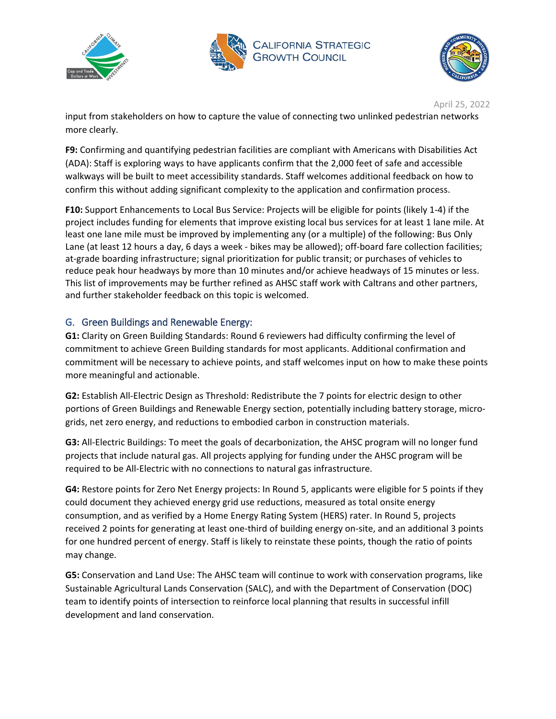





input from stakeholders on how to capture the value of connecting two unlinked pedestrian networks more clearly.

**F9:** Confirming and quantifying pedestrian facilities are compliant with Americans with Disabilities Act (ADA): Staff is exploring ways to have applicants confirm that the 2,000 feet of safe and accessible walkways will be built to meet accessibility standards. Staff welcomes additional feedback on how to confirm this without adding significant complexity to the application and confirmation process.

**F10:** Support Enhancements to Local Bus Service: Projects will be eligible for points (likely 1-4) if the project includes funding for elements that improve existing local bus services for at least 1 lane mile. At least one lane mile must be improved by implementing any (or a multiple) of the following: Bus Only Lane (at least 12 hours a day, 6 days a week - bikes may be allowed); off-board fare collection facilities; at-grade boarding infrastructure; signal prioritization for public transit; or purchases of vehicles to reduce peak hour headways by more than 10 minutes and/or achieve headways of 15 minutes or less. This list of improvements may be further refined as AHSC staff work with Caltrans and other partners, and further stakeholder feedback on this topic is welcomed.

# G. Green Buildings and Renewable Energy:

**G1:** Clarity on Green Building Standards: Round 6 reviewers had difficulty confirming the level of commitment to achieve Green Building standards for most applicants. Additional confirmation and commitment will be necessary to achieve points, and staff welcomes input on how to make these points more meaningful and actionable.

**G2:** Establish All-Electric Design as Threshold: Redistribute the 7 points for electric design to other portions of Green Buildings and Renewable Energy section, potentially including battery storage, microgrids, net zero energy, and reductions to embodied carbon in construction materials.

**G3:** All-Electric Buildings: To meet the goals of decarbonization, the AHSC program will no longer fund projects that include natural gas. All projects applying for funding under the AHSC program will be required to be All-Electric with no connections to natural gas infrastructure.

**G4:** Restore points for Zero Net Energy projects: In Round 5, applicants were eligible for 5 points if they could document they achieved energy grid use reductions, measured as total onsite energy consumption, and as verified by a Home Energy Rating System (HERS) rater. In Round 5, projects received 2 points for generating at least one-third of building energy on-site, and an additional 3 points for one hundred percent of energy. Staff is likely to reinstate these points, though the ratio of points may change.

**G5:** Conservation and Land Use: The AHSC team will continue to work with conservation programs, like Sustainable Agricultural Lands Conservation (SALC), and with the Department of Conservation (DOC) team to identify points of intersection to reinforce local planning that results in successful infill development and land conservation.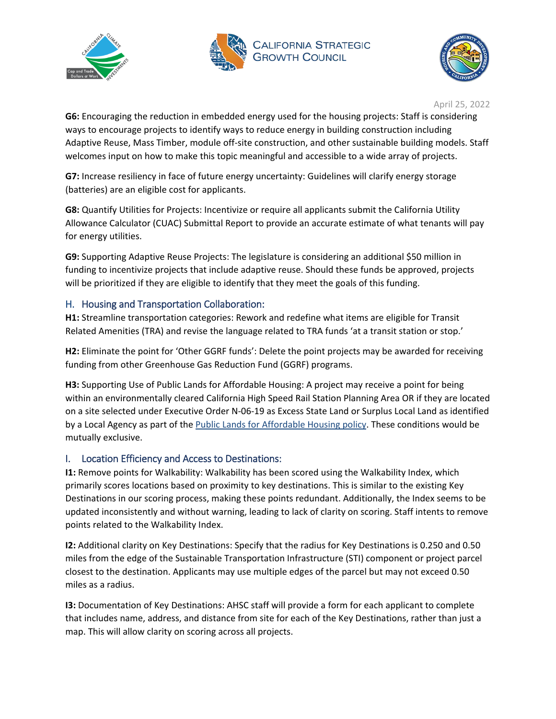





**G6:** Encouraging the reduction in embedded energy used for the housing projects: Staff is considering ways to encourage projects to identify ways to reduce energy in building construction including Adaptive Reuse, Mass Timber, module off-site construction, and other sustainable building models. Staff welcomes input on how to make this topic meaningful and accessible to a wide array of projects.

**G7:** Increase resiliency in face of future energy uncertainty: Guidelines will clarify energy storage (batteries) are an eligible cost for applicants.

**G8:** Quantify Utilities for Projects: Incentivize or require all applicants submit the California Utility Allowance Calculator (CUAC) Submittal Report to provide an accurate estimate of what tenants will pay for energy utilities.

**G9:** Supporting Adaptive Reuse Projects: The legislature is considering an additional \$50 million in funding to incentivize projects that include adaptive reuse. Should these funds be approved, projects will be prioritized if they are eligible to identify that they meet the goals of this funding.

## H. Housing and Transportation Collaboration:

**H1:** Streamline transportation categories: Rework and redefine what items are eligible for Transit Related Amenities (TRA) and revise the language related to TRA funds 'at a transit station or stop.'

**H2:** Eliminate the point for 'Other GGRF funds': Delete the point projects may be awarded for receiving funding from other Greenhouse Gas Reduction Fund (GGRF) programs.

**H3:** Supporting Use of Public Lands for Affordable Housing: A project may receive a point for being within an environmentally cleared California High Speed Rail Station Planning Area OR if they are located on a site selected under Executive Order N-06-19 as Excess State Land or Surplus Local Land as identified by a Local Agency as part of the [Public Lands for Affordable Housing](https://www.hcd.ca.gov/community-development/public-lands-for-affordable-housing-development.shtml) policy. These conditions would be mutually exclusive.

# I. Location Efficiency and Access to Destinations:

**I1:** Remove points for Walkability: Walkability has been scored using the Walkability Index, which primarily scores locations based on proximity to key destinations. This is similar to the existing Key Destinations in our scoring process, making these points redundant. Additionally, the Index seems to be updated inconsistently and without warning, leading to lack of clarity on scoring. Staff intents to remove points related to the Walkability Index.

**I2:** Additional clarity on Key Destinations: Specify that the radius for Key Destinations is 0.250 and 0.50 miles from the edge of the Sustainable Transportation Infrastructure (STI) component or project parcel closest to the destination. Applicants may use multiple edges of the parcel but may not exceed 0.50 miles as a radius.

**I3:** Documentation of Key Destinations: AHSC staff will provide a form for each applicant to complete that includes name, address, and distance from site for each of the Key Destinations, rather than just a map. This will allow clarity on scoring across all projects.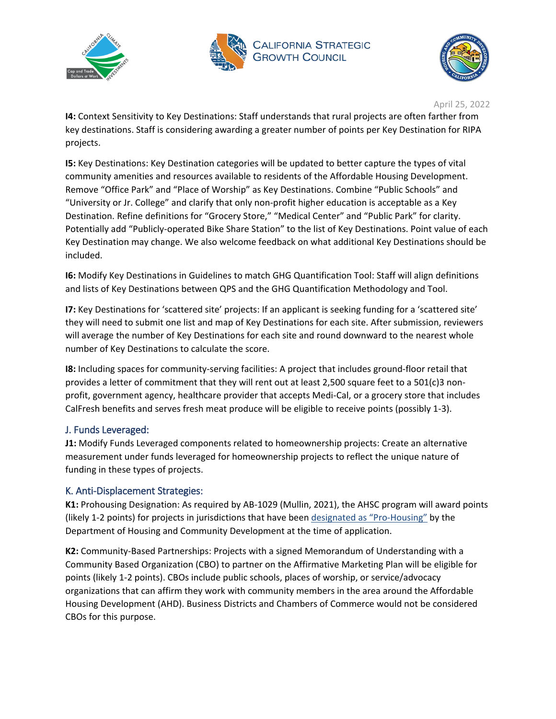





**I4:** Context Sensitivity to Key Destinations: Staff understands that rural projects are often farther from key destinations. Staff is considering awarding a greater number of points per Key Destination for RIPA projects.

**I5:** Key Destinations: Key Destination categories will be updated to better capture the types of vital community amenities and resources available to residents of the Affordable Housing Development. Remove "Office Park" and "Place of Worship" as Key Destinations. Combine "Public Schools" and "University or Jr. College" and clarify that only non-profit higher education is acceptable as a Key Destination. Refine definitions for "Grocery Store," "Medical Center" and "Public Park" for clarity. Potentially add "Publicly-operated Bike Share Station" to the list of Key Destinations. Point value of each Key Destination may change. We also welcome feedback on what additional Key Destinations should be included.

**I6:** Modify Key Destinations in Guidelines to match GHG Quantification Tool: Staff will align definitions and lists of Key Destinations between QPS and the GHG Quantification Methodology and Tool.

**I7:** Key Destinations for 'scattered site' projects: If an applicant is seeking funding for a 'scattered site' they will need to submit one list and map of Key Destinations for each site. After submission, reviewers will average the number of Key Destinations for each site and round downward to the nearest whole number of Key Destinations to calculate the score.

**I8:** Including spaces for community-serving facilities: A project that includes ground-floor retail that provides a letter of commitment that they will rent out at least 2,500 square feet to a 501(c)3 nonprofit, government agency, healthcare provider that accepts Medi-Cal, or a grocery store that includes CalFresh benefits and serves fresh meat produce will be eligible to receive points (possibly 1-3).

### J. Funds Leveraged:

**J1:** Modify Funds Leveraged components related to homeownership projects: Create an alternative measurement under funds leveraged for homeownership projects to reflect the unique nature of funding in these types of projects.

### K. Anti-Displacement Strategies:

**K1:** Prohousing Designation: As required by AB-1029 (Mullin, 2021), the AHSC program will award points (likely 1-2 points) for projects in jurisdictions that have been [designated as "Pro-Housing"](https://www.hcd.ca.gov/community-development/prohousing/index.shtml) by the Department of Housing and Community Development at the time of application.

**K2:** Community-Based Partnerships: Projects with a signed Memorandum of Understanding with a Community Based Organization (CBO) to partner on the Affirmative Marketing Plan will be eligible for points (likely 1-2 points). CBOs include public schools, places of worship, or service/advocacy organizations that can affirm they work with community members in the area around the Affordable Housing Development (AHD). Business Districts and Chambers of Commerce would not be considered CBOs for this purpose.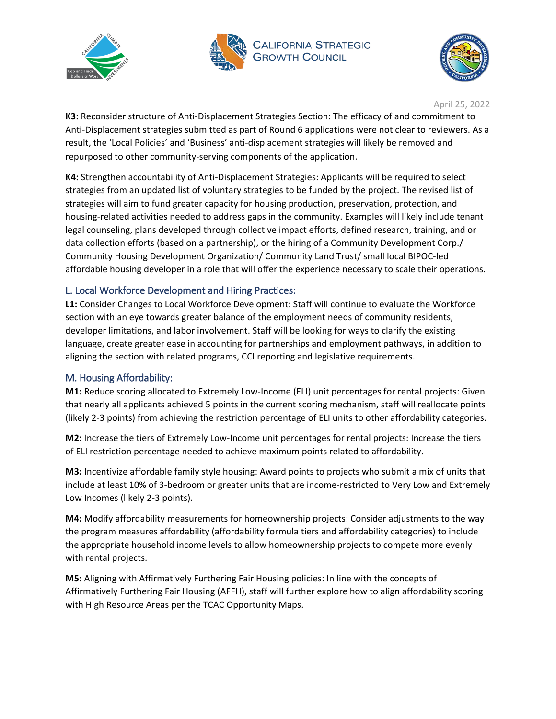





**K3:** Reconsider structure of Anti-Displacement Strategies Section: The efficacy of and commitment to Anti-Displacement strategies submitted as part of Round 6 applications were not clear to reviewers. As a result, the 'Local Policies' and 'Business' anti-displacement strategies will likely be removed and repurposed to other community-serving components of the application.

**K4:** Strengthen accountability of Anti-Displacement Strategies: Applicants will be required to select strategies from an updated list of voluntary strategies to be funded by the project. The revised list of strategies will aim to fund greater capacity for housing production, preservation, protection, and housing-related activities needed to address gaps in the community. Examples will likely include tenant legal counseling, plans developed through collective impact efforts, defined research, training, and or data collection efforts (based on a partnership), or the hiring of a Community Development Corp./ Community Housing Development Organization/ Community Land Trust/ small local BIPOC-led affordable housing developer in a role that will offer the experience necessary to scale their operations.

## L. Local Workforce Development and Hiring Practices:

**L1:** Consider Changes to Local Workforce Development: Staff will continue to evaluate the Workforce section with an eye towards greater balance of the employment needs of community residents, developer limitations, and labor involvement. Staff will be looking for ways to clarify the existing language, create greater ease in accounting for partnerships and employment pathways, in addition to aligning the section with related programs, CCI reporting and legislative requirements.

# M. Housing Affordability:

**M1:** Reduce scoring allocated to Extremely Low-Income (ELI) unit percentages for rental projects: Given that nearly all applicants achieved 5 points in the current scoring mechanism, staff will reallocate points (likely 2-3 points) from achieving the restriction percentage of ELI units to other affordability categories.

**M2:** Increase the tiers of Extremely Low-Income unit percentages for rental projects: Increase the tiers of ELI restriction percentage needed to achieve maximum points related to affordability.

**M3:** Incentivize affordable family style housing: Award points to projects who submit a mix of units that include at least 10% of 3-bedroom or greater units that are income-restricted to Very Low and Extremely Low Incomes (likely 2-3 points).

**M4:** Modify affordability measurements for homeownership projects: Consider adjustments to the way the program measures affordability (affordability formula tiers and affordability categories) to include the appropriate household income levels to allow homeownership projects to compete more evenly with rental projects.

**M5:** Aligning with Affirmatively Furthering Fair Housing policies: In line with the concepts of Affirmatively Furthering Fair Housing (AFFH), staff will further explore how to align affordability scoring with High Resource Areas per the TCAC Opportunity Maps.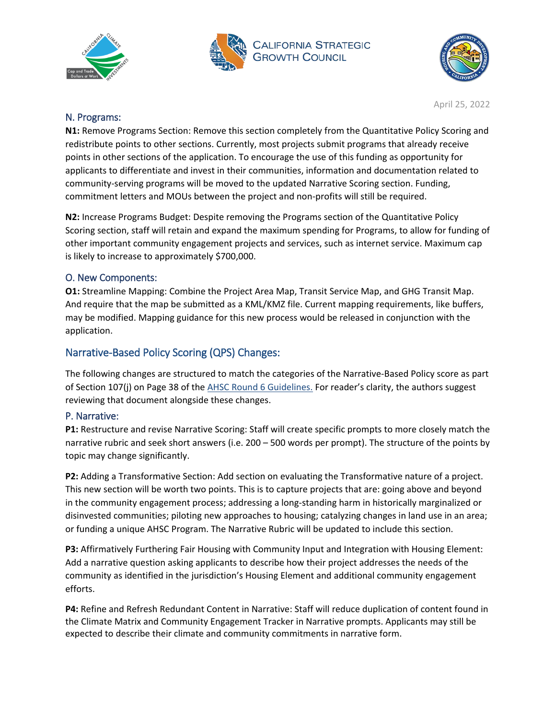





### N. Programs:

**N1:** Remove Programs Section: Remove this section completely from the Quantitative Policy Scoring and redistribute points to other sections. Currently, most projects submit programs that already receive points in other sections of the application. To encourage the use of this funding as opportunity for applicants to differentiate and invest in their communities, information and documentation related to community-serving programs will be moved to the updated Narrative Scoring section. Funding, commitment letters and MOUs between the project and non-profits will still be required.

**N2:** Increase Programs Budget: Despite removing the Programs section of the Quantitative Policy Scoring section, staff will retain and expand the maximum spending for Programs, to allow for funding of other important community engagement projects and services, such as internet service. Maximum cap is likely to increase to approximately \$700,000.

### O. New Components:

**O1:** Streamline Mapping: Combine the Project Area Map, Transit Service Map, and GHG Transit Map. And require that the map be submitted as a KML/KMZ file. Current mapping requirements, like buffers, may be modified. Mapping guidance for this new process would be released in conjunction with the application.

# Narrative-Based Policy Scoring (QPS) Changes:

The following changes are structured to match the categories of the Narrative-Based Policy score as part of Section 107(j) on Page 38 of the [AHSC Round 6 Guidelines.](https://sgc.ca.gov/meetings/council/2021/docs/20210224-AHSC_Round_6_Guidelines.pdf) For reader's clarity, the authors suggest reviewing that document alongside these changes.

### P. Narrative:

**P1:** Restructure and revise Narrative Scoring: Staff will create specific prompts to more closely match the narrative rubric and seek short answers (i.e. 200 – 500 words per prompt). The structure of the points by topic may change significantly.

**P2:** Adding a Transformative Section: Add section on evaluating the Transformative nature of a project. This new section will be worth two points. This is to capture projects that are: going above and beyond in the community engagement process; addressing a long-standing harm in historically marginalized or disinvested communities; piloting new approaches to housing; catalyzing changes in land use in an area; or funding a unique AHSC Program. The Narrative Rubric will be updated to include this section.

**P3:** Affirmatively Furthering Fair Housing with Community Input and Integration with Housing Element: Add a narrative question asking applicants to describe how their project addresses the needs of the community as identified in the jurisdiction's Housing Element and additional community engagement efforts.

**P4:** Refine and Refresh Redundant Content in Narrative: Staff will reduce duplication of content found in the Climate Matrix and Community Engagement Tracker in Narrative prompts. Applicants may still be expected to describe their climate and community commitments in narrative form.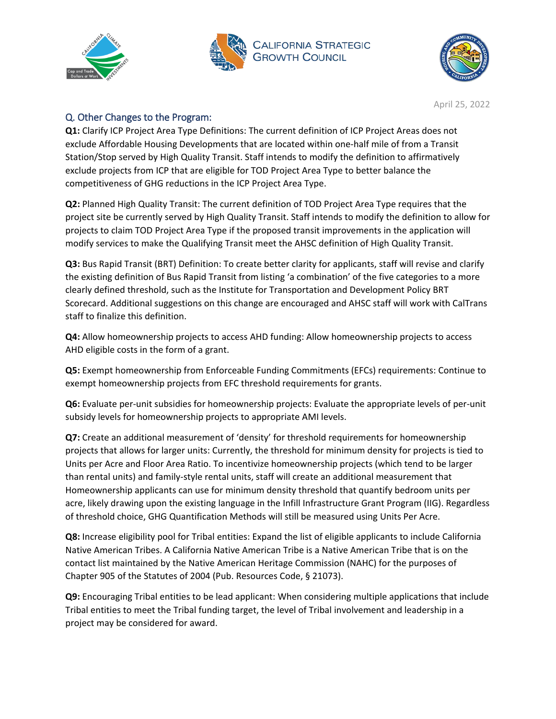





# Q. Other Changes to the Program:

**Q1:** Clarify ICP Project Area Type Definitions: The current definition of ICP Project Areas does not exclude Affordable Housing Developments that are located within one-half mile of from a Transit Station/Stop served by High Quality Transit. Staff intends to modify the definition to affirmatively exclude projects from ICP that are eligible for TOD Project Area Type to better balance the competitiveness of GHG reductions in the ICP Project Area Type.

**Q2:** Planned High Quality Transit: The current definition of TOD Project Area Type requires that the project site be currently served by High Quality Transit. Staff intends to modify the definition to allow for projects to claim TOD Project Area Type if the proposed transit improvements in the application will modify services to make the Qualifying Transit meet the AHSC definition of High Quality Transit.

**Q3:** Bus Rapid Transit (BRT) Definition: To create better clarity for applicants, staff will revise and clarify the existing definition of Bus Rapid Transit from listing 'a combination' of the five categories to a more clearly defined threshold, such as the Institute for Transportation and Development Policy BRT Scorecard. Additional suggestions on this change are encouraged and AHSC staff will work with CalTrans staff to finalize this definition.

**Q4:** Allow homeownership projects to access AHD funding: Allow homeownership projects to access AHD eligible costs in the form of a grant.

**Q5:** Exempt homeownership from Enforceable Funding Commitments (EFCs) requirements: Continue to exempt homeownership projects from EFC threshold requirements for grants.

**Q6:** Evaluate per-unit subsidies for homeownership projects: Evaluate the appropriate levels of per-unit subsidy levels for homeownership projects to appropriate AMI levels.

**Q7:** Create an additional measurement of 'density' for threshold requirements for homeownership projects that allows for larger units: Currently, the threshold for minimum density for projects is tied to Units per Acre and Floor Area Ratio. To incentivize homeownership projects (which tend to be larger than rental units) and family-style rental units, staff will create an additional measurement that Homeownership applicants can use for minimum density threshold that quantify bedroom units per acre, likely drawing upon the existing language in the Infill Infrastructure Grant Program (IIG). Regardless of threshold choice, GHG Quantification Methods will still be measured using Units Per Acre.

**Q8:** Increase eligibility pool for Tribal entities: Expand the list of eligible applicants to include California Native American Tribes. A California Native American Tribe is a Native American Tribe that is on the contact list maintained by the Native American Heritage Commission (NAHC) for the purposes of Chapter 905 of the Statutes of 2004 (Pub. Resources Code, § 21073).

**Q9:** Encouraging Tribal entities to be lead applicant: When considering multiple applications that include Tribal entities to meet the Tribal funding target, the level of Tribal involvement and leadership in a project may be considered for award.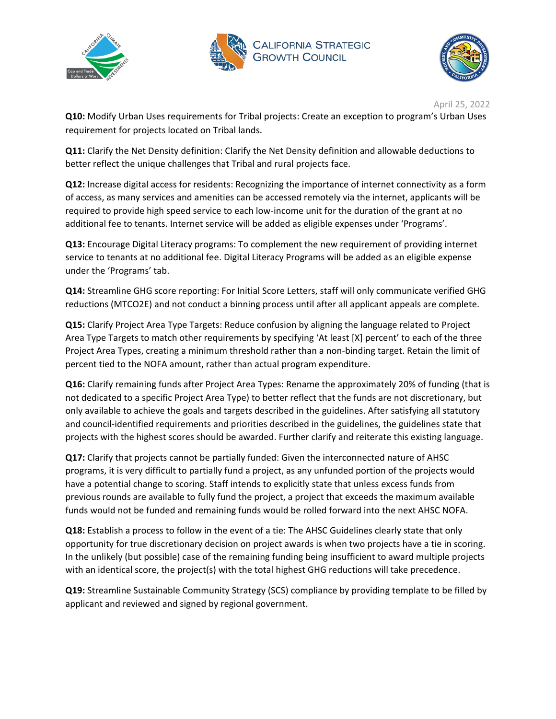





**Q10:** Modify Urban Uses requirements for Tribal projects: Create an exception to program's Urban Uses requirement for projects located on Tribal lands.

**Q11:** Clarify the Net Density definition: Clarify the Net Density definition and allowable deductions to better reflect the unique challenges that Tribal and rural projects face.

**Q12:** Increase digital access for residents: Recognizing the importance of internet connectivity as a form of access, as many services and amenities can be accessed remotely via the internet, applicants will be required to provide high speed service to each low-income unit for the duration of the grant at no additional fee to tenants. Internet service will be added as eligible expenses under 'Programs'.

**Q13:** Encourage Digital Literacy programs: To complement the new requirement of providing internet service to tenants at no additional fee. Digital Literacy Programs will be added as an eligible expense under the 'Programs' tab.

**Q14:** Streamline GHG score reporting: For Initial Score Letters, staff will only communicate verified GHG reductions (MTCO2E) and not conduct a binning process until after all applicant appeals are complete.

**Q15:** Clarify Project Area Type Targets: Reduce confusion by aligning the language related to Project Area Type Targets to match other requirements by specifying 'At least [X] percent' to each of the three Project Area Types, creating a minimum threshold rather than a non-binding target. Retain the limit of percent tied to the NOFA amount, rather than actual program expenditure.

**Q16:** Clarify remaining funds after Project Area Types: Rename the approximately 20% of funding (that is not dedicated to a specific Project Area Type) to better reflect that the funds are not discretionary, but only available to achieve the goals and targets described in the guidelines. After satisfying all statutory and council-identified requirements and priorities described in the guidelines, the guidelines state that projects with the highest scores should be awarded. Further clarify and reiterate this existing language.

**Q17:** Clarify that projects cannot be partially funded: Given the interconnected nature of AHSC programs, it is very difficult to partially fund a project, as any unfunded portion of the projects would have a potential change to scoring. Staff intends to explicitly state that unless excess funds from previous rounds are available to fully fund the project, a project that exceeds the maximum available funds would not be funded and remaining funds would be rolled forward into the next AHSC NOFA.

**Q18:** Establish a process to follow in the event of a tie: The AHSC Guidelines clearly state that only opportunity for true discretionary decision on project awards is when two projects have a tie in scoring. In the unlikely (but possible) case of the remaining funding being insufficient to award multiple projects with an identical score, the project(s) with the total highest GHG reductions will take precedence.

**Q19:** Streamline Sustainable Community Strategy (SCS) compliance by providing template to be filled by applicant and reviewed and signed by regional government.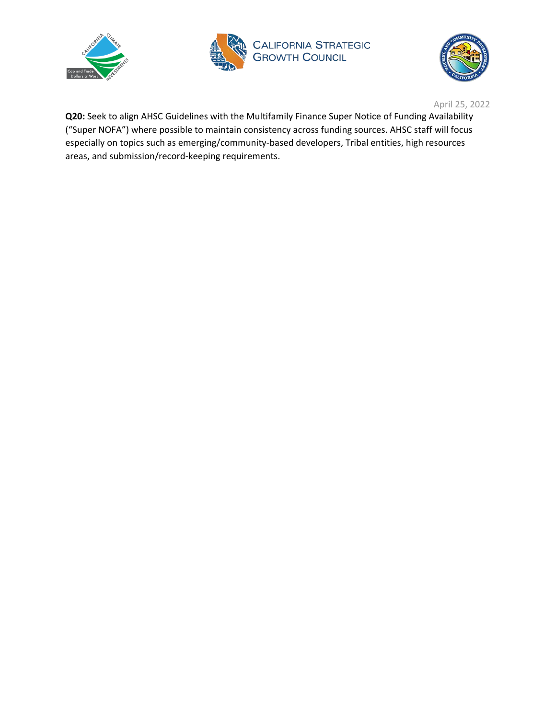





**Q20:** Seek to align AHSC Guidelines with the Multifamily Finance Super Notice of Funding Availability ("Super NOFA") where possible to maintain consistency across funding sources. AHSC staff will focus especially on topics such as emerging/community-based developers, Tribal entities, high resources areas, and submission/record-keeping requirements.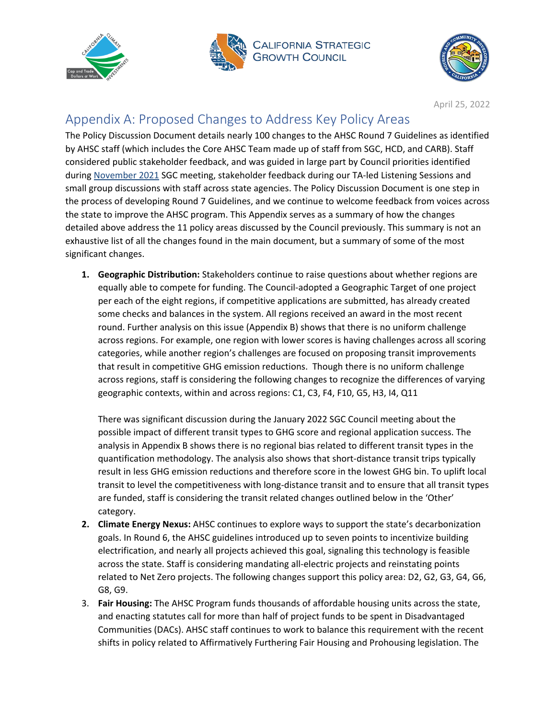





# Appendix A: Proposed Changes to Address Key Policy Areas

The Policy Discussion Document details nearly 100 changes to the AHSC Round 7 Guidelines as identified by AHSC staff (which includes the Core AHSC Team made up of staff from SGC, HCD, and CARB). Staff considered public stakeholder feedback, and was guided in large part by Council priorities identified during [November 2021](https://sgc.ca.gov/meetings/council/2021/docs/20211116-Item7_AHSC_Policy_Direction_Staff_Report.pdf) SGC meeting, stakeholder feedback during our TA-led Listening Sessions and small group discussions with staff across state agencies. The Policy Discussion Document is one step in the process of developing Round 7 Guidelines, and we continue to welcome feedback from voices across the state to improve the AHSC program. This Appendix serves as a summary of how the changes detailed above address the 11 policy areas discussed by the Council previously. This summary is not an exhaustive list of all the changes found in the main document, but a summary of some of the most significant changes.

**1. Geographic Distribution:** Stakeholders continue to raise questions about whether regions are equally able to compete for funding. The Council-adopted a Geographic Target of one project per each of the eight regions, if competitive applications are submitted, has already created some checks and balances in the system. All regions received an award in the most recent round. Further analysis on this issue (Appendix B) shows that there is no uniform challenge across regions. For example, one region with lower scores is having challenges across all scoring categories, while another region's challenges are focused on proposing transit improvements that result in competitive GHG emission reductions. Though there is no uniform challenge across regions, staff is considering the following changes to recognize the differences of varying geographic contexts, within and across regions: C1, C3, F4, F10, G5, H3, I4, Q11

There was significant discussion during the January 2022 SGC Council meeting about the possible impact of different transit types to GHG score and regional application success. The analysis in Appendix B shows there is no regional bias related to different transit types in the quantification methodology. The analysis also shows that short-distance transit trips typically result in less GHG emission reductions and therefore score in the lowest GHG bin. To uplift local transit to level the competitiveness with long-distance transit and to ensure that all transit types are funded, staff is considering the transit related changes outlined below in the 'Other' category.

- **2. Climate Energy Nexus:** AHSC continues to explore ways to support the state's decarbonization goals. In Round 6, the AHSC guidelines introduced up to seven points to incentivize building electrification, and nearly all projects achieved this goal, signaling this technology is feasible across the state. Staff is considering mandating all-electric projects and reinstating points related to Net Zero projects. The following changes support this policy area: D2, G2, G3, G4, G6, G8, G9.
- 3. **Fair Housing:** The AHSC Program funds thousands of affordable housing units across the state, and enacting statutes call for more than half of project funds to be spent in Disadvantaged Communities (DACs). AHSC staff continues to work to balance this requirement with the recent shifts in policy related to Affirmatively Furthering Fair Housing and Prohousing legislation. The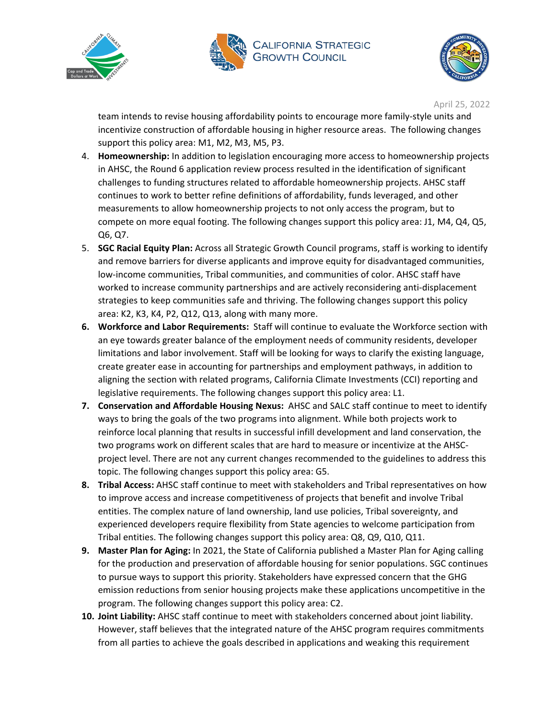





team intends to revise housing affordability points to encourage more family-style units and incentivize construction of affordable housing in higher resource areas. The following changes support this policy area: M1, M2, M3, M5, P3.

- 4. **Homeownership:** In addition to legislation encouraging more access to homeownership projects in AHSC, the Round 6 application review process resulted in the identification of significant challenges to funding structures related to affordable homeownership projects. AHSC staff continues to work to better refine definitions of affordability, funds leveraged, and other measurements to allow homeownership projects to not only access the program, but to compete on more equal footing. The following changes support this policy area: J1, M4, Q4, Q5, Q6, Q7.
- 5. **SGC Racial Equity Plan:** Across all Strategic Growth Council programs, staff is working to identify and remove barriers for diverse applicants and improve equity for disadvantaged communities, low-income communities, Tribal communities, and communities of color. AHSC staff have worked to increase community partnerships and are actively reconsidering anti-displacement strategies to keep communities safe and thriving. The following changes support this policy area: K2, K3, K4, P2, Q12, Q13, along with many more.
- **6. Workforce and Labor Requirements:** Staff will continue to evaluate the Workforce section with an eye towards greater balance of the employment needs of community residents, developer limitations and labor involvement. Staff will be looking for ways to clarify the existing language, create greater ease in accounting for partnerships and employment pathways, in addition to aligning the section with related programs, California Climate Investments (CCI) reporting and legislative requirements. The following changes support this policy area: L1.
- **7. Conservation and Affordable Housing Nexus:** AHSC and SALC staff continue to meet to identify ways to bring the goals of the two programs into alignment. While both projects work to reinforce local planning that results in successful infill development and land conservation, the two programs work on different scales that are hard to measure or incentivize at the AHSCproject level. There are not any current changes recommended to the guidelines to address this topic. The following changes support this policy area: G5.
- **8. Tribal Access:** AHSC staff continue to meet with stakeholders and Tribal representatives on how to improve access and increase competitiveness of projects that benefit and involve Tribal entities. The complex nature of land ownership, land use policies, Tribal sovereignty, and experienced developers require flexibility from State agencies to welcome participation from Tribal entities. The following changes support this policy area: Q8, Q9, Q10, Q11.
- **9. Master Plan for Aging:** In 2021, the State of California published a Master Plan for Aging calling for the production and preservation of affordable housing for senior populations. SGC continues to pursue ways to support this priority. Stakeholders have expressed concern that the GHG emission reductions from senior housing projects make these applications uncompetitive in the program. The following changes support this policy area: C2.
- **10. Joint Liability:** AHSC staff continue to meet with stakeholders concerned about joint liability. However, staff believes that the integrated nature of the AHSC program requires commitments from all parties to achieve the goals described in applications and weaking this requirement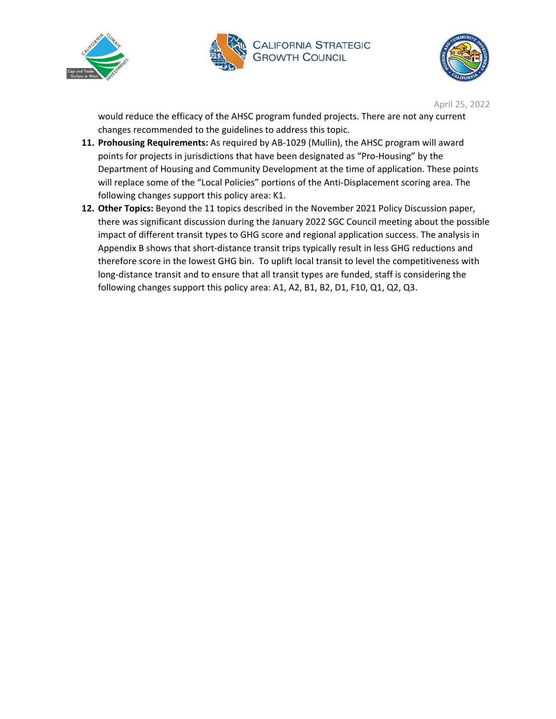





would reduce the efficacy of the AHSC program funded projects. There are not any current changes recommended to the guidelines to address this topic.

- **11. Prohousing Requirements:** As required by AB-1029 (Mullin), the AHSC program will award points for projects in jurisdictions that have been designated as "Pro-Housing" by the Department of Housing and Community Development at the time of application. These points will replace some of the "Local Policies" portions of the Anti-Displacement scoring area. The following changes support this policy area: K1.
- **12. Other Topics:** Beyond the 11 topics described in the November 2021 Policy Discussion paper, there was significant discussion during the January 2022 SGC Council meeting about the possible impact of different transit types to GHG score and regional application success. The analysis in Appendix B shows that short-distance transit trips typically result in less GHG reductions and therefore score in the lowest GHG bin. To uplift local transit to level the competitiveness with long-distance transit and to ensure that all transit types are funded, staff is considering the following changes support this policy area: A1, A2, B1, B2, D1, F10, Q1, Q2, Q3.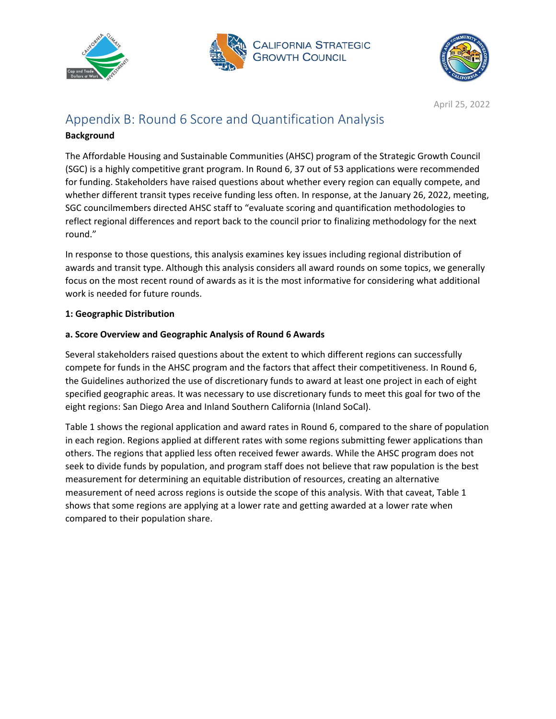





# Appendix B: Round 6 Score and Quantification Analysis

#### **Background**

The Affordable Housing and Sustainable Communities (AHSC) program of the Strategic Growth Council (SGC) is a highly competitive grant program. In Round 6, 37 out of 53 applications were recommended for funding. Stakeholders have raised questions about whether every region can equally compete, and whether different transit types receive funding less often. In response, at the January 26, 2022, meeting, SGC councilmembers directed AHSC staff to "evaluate scoring and quantification methodologies to reflect regional differences and report back to the council prior to finalizing methodology for the next round."

In response to those questions, this analysis examines key issues including regional distribution of awards and transit type. Although this analysis considers all award rounds on some topics, we generally focus on the most recent round of awards as it is the most informative for considering what additional work is needed for future rounds.

#### **1: Geographic Distribution**

#### **a. Score Overview and Geographic Analysis of Round 6 Awards**

Several stakeholders raised questions about the extent to which different regions can successfully compete for funds in the AHSC program and the factors that affect their competitiveness. In Round 6, the Guidelines authorized the use of discretionary funds to award at least one project in each of eight specified geographic areas. It was necessary to use discretionary funds to meet this goal for two of the eight regions: San Diego Area and Inland Southern California (Inland SoCal).

Table 1 shows the regional application and award rates in Round 6, compared to the share of population in each region. Regions applied at different rates with some regions submitting fewer applications than others. The regions that applied less often received fewer awards. While the AHSC program does not seek to divide funds by population, and program staff does not believe that raw population is the best measurement for determining an equitable distribution of resources, creating an alternative measurement of need across regions is outside the scope of this analysis. With that caveat, Table 1 shows that some regions are applying at a lower rate and getting awarded at a lower rate when compared to their population share.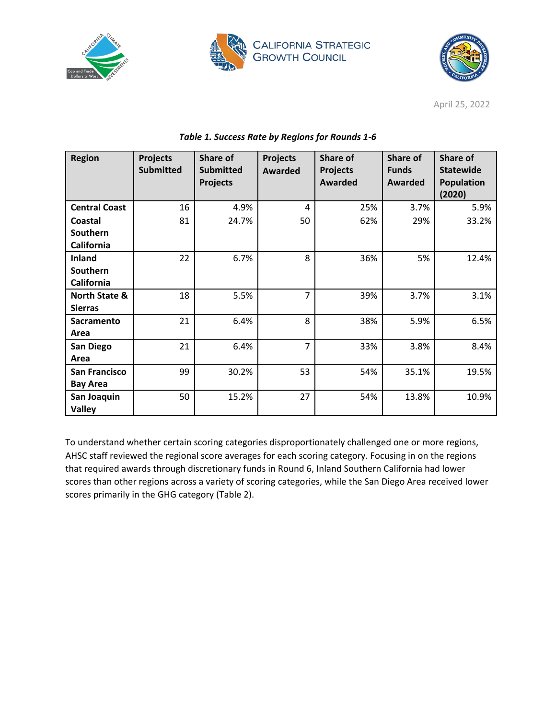





| <b>Region</b>        | <b>Projects</b><br><b>Submitted</b> | <b>Share of</b><br><b>Submitted</b><br><b>Projects</b> | <b>Projects</b><br><b>Awarded</b> | <b>Share of</b><br><b>Projects</b><br><b>Awarded</b> | Share of<br><b>Funds</b><br>Awarded | <b>Share of</b><br><b>Statewide</b><br><b>Population</b> |
|----------------------|-------------------------------------|--------------------------------------------------------|-----------------------------------|------------------------------------------------------|-------------------------------------|----------------------------------------------------------|
|                      |                                     |                                                        |                                   |                                                      |                                     | (2020)                                                   |
| <b>Central Coast</b> | 16                                  | 4.9%                                                   | 4                                 | 25%                                                  | 3.7%                                | 5.9%                                                     |
| Coastal              | 81                                  | 24.7%                                                  | 50                                | 62%                                                  | 29%                                 | 33.2%                                                    |
| Southern             |                                     |                                                        |                                   |                                                      |                                     |                                                          |
| California           |                                     |                                                        |                                   |                                                      |                                     |                                                          |
| <b>Inland</b>        | 22                                  | 6.7%                                                   | 8                                 | 36%                                                  | 5%                                  | 12.4%                                                    |
| Southern             |                                     |                                                        |                                   |                                                      |                                     |                                                          |
| California           |                                     |                                                        |                                   |                                                      |                                     |                                                          |
| North State &        | 18                                  | 5.5%                                                   | $\overline{7}$                    | 39%                                                  | 3.7%                                | 3.1%                                                     |
| <b>Sierras</b>       |                                     |                                                        |                                   |                                                      |                                     |                                                          |
| Sacramento           | 21                                  | 6.4%                                                   | 8                                 | 38%                                                  | 5.9%                                | 6.5%                                                     |
| Area                 |                                     |                                                        |                                   |                                                      |                                     |                                                          |
| San Diego            | 21                                  | 6.4%                                                   | $\overline{7}$                    | 33%                                                  | 3.8%                                | 8.4%                                                     |
| Area                 |                                     |                                                        |                                   |                                                      |                                     |                                                          |
| <b>San Francisco</b> | 99                                  | 30.2%                                                  | 53                                | 54%                                                  | 35.1%                               | 19.5%                                                    |
| <b>Bay Area</b>      |                                     |                                                        |                                   |                                                      |                                     |                                                          |
| San Joaquin          | 50                                  | 15.2%                                                  | 27                                | 54%                                                  | 13.8%                               | 10.9%                                                    |
| <b>Valley</b>        |                                     |                                                        |                                   |                                                      |                                     |                                                          |

#### *Table 1. Success Rate by Regions for Rounds 1-6*

To understand whether certain scoring categories disproportionately challenged one or more regions, AHSC staff reviewed the regional score averages for each scoring category. Focusing in on the regions that required awards through discretionary funds in Round 6, Inland Southern California had lower scores than other regions across a variety of scoring categories, while the San Diego Area received lower scores primarily in the GHG category (Table 2).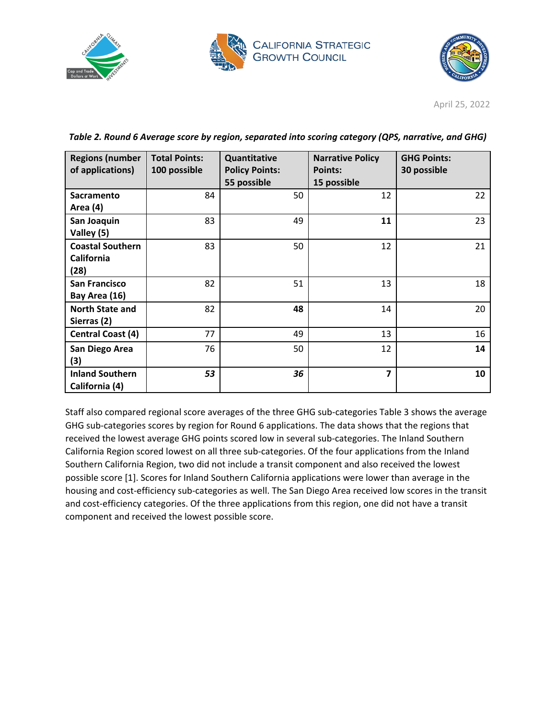





| <b>Regions (number</b><br>of applications)           | <b>Total Points:</b><br>100 possible | Quantitative<br><b>Policy Points:</b><br>55 possible | <b>Narrative Policy</b><br><b>Points:</b><br>15 possible | <b>GHG Points:</b><br>30 possible |
|------------------------------------------------------|--------------------------------------|------------------------------------------------------|----------------------------------------------------------|-----------------------------------|
| <b>Sacramento</b><br>Area (4)                        | 84                                   | 50                                                   | 12                                                       | 22                                |
| San Joaquin<br>Valley (5)                            | 83                                   | 49                                                   | 11                                                       | 23                                |
| <b>Coastal Southern</b><br><b>California</b><br>(28) | 83                                   | 50                                                   | 12                                                       | 21                                |
| <b>San Francisco</b><br>Bay Area (16)                | 82                                   | 51                                                   | 13                                                       | 18                                |
| <b>North State and</b><br>Sierras (2)                | 82                                   | 48                                                   | 14                                                       | 20                                |
| <b>Central Coast (4)</b>                             | 77                                   | 49                                                   | 13                                                       | 16                                |
| San Diego Area<br>(3)                                | 76                                   | 50                                                   | 12                                                       | 14                                |
| <b>Inland Southern</b><br>California (4)             | 53                                   | 36                                                   | $\overline{\mathbf{z}}$                                  | 10                                |

*Table 2. Round 6 Average score by region, separated into scoring category (QPS, narrative, and GHG)*

Staff also compared regional score averages of the three GHG sub-categories Table 3 shows the average GHG sub-categories scores by region for Round 6 applications. The data shows that the regions that received the lowest average GHG points scored low in several sub-categories. The Inland Southern California Region scored lowest on all three sub-categories. Of the four applications from the Inland Southern California Region, two did not include a transit component and also received the lowest possible score [1]. Scores for Inland Southern California applications were lower than average in the housing and cost-efficiency sub-categories as well. The San Diego Area received low scores in the transit and cost-efficiency categories. Of the three applications from this region, one did not have a transit component and received the lowest possible score.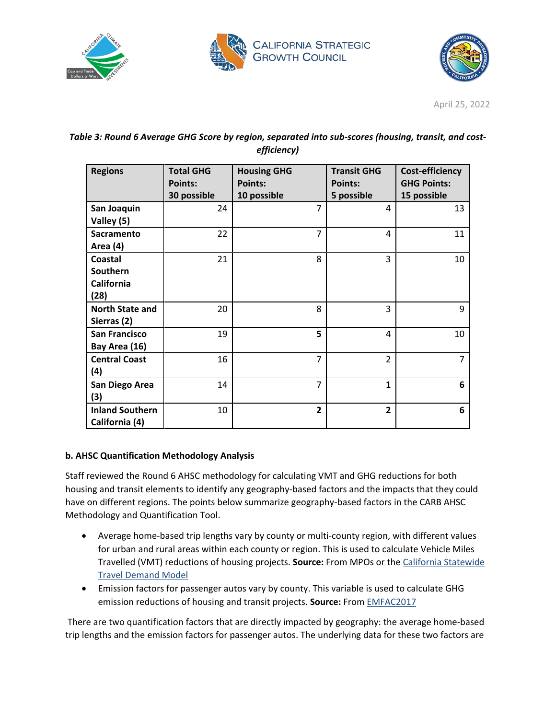





| Table 3: Round 6 Average GHG Score by region, separated into sub-scores (housing, transit, and cost- |  |
|------------------------------------------------------------------------------------------------------|--|
| efficiency)                                                                                          |  |

| <b>Regions</b>         | <b>Total GHG</b><br><b>Points:</b><br>30 possible | <b>Housing GHG</b><br><b>Points:</b><br>10 possible | <b>Transit GHG</b><br><b>Points:</b><br>5 possible | Cost-efficiency<br><b>GHG Points:</b><br>15 possible |
|------------------------|---------------------------------------------------|-----------------------------------------------------|----------------------------------------------------|------------------------------------------------------|
| San Joaquin            | 24                                                | $\overline{7}$                                      | 4                                                  | 13                                                   |
| Valley (5)             |                                                   |                                                     |                                                    |                                                      |
| <b>Sacramento</b>      | 22                                                | 7                                                   | 4                                                  | 11                                                   |
| Area (4)               |                                                   |                                                     |                                                    |                                                      |
| Coastal                | 21                                                | 8                                                   | 3                                                  | 10                                                   |
| Southern               |                                                   |                                                     |                                                    |                                                      |
| California             |                                                   |                                                     |                                                    |                                                      |
| (28)                   |                                                   |                                                     |                                                    |                                                      |
| <b>North State and</b> | 20                                                | 8                                                   | 3                                                  | 9                                                    |
| Sierras (2)            |                                                   |                                                     |                                                    |                                                      |
| <b>San Francisco</b>   | 19                                                | 5                                                   | 4                                                  | 10                                                   |
| Bay Area (16)          |                                                   |                                                     |                                                    |                                                      |
| <b>Central Coast</b>   | 16                                                | 7                                                   | $\overline{2}$                                     | 7                                                    |
| (4)                    |                                                   |                                                     |                                                    |                                                      |
| San Diego Area         | 14                                                | 7                                                   | $\mathbf{1}$                                       | 6                                                    |
| (3)                    |                                                   |                                                     |                                                    |                                                      |
| <b>Inland Southern</b> | 10                                                | 2                                                   | $\overline{2}$                                     | 6                                                    |
| California (4)         |                                                   |                                                     |                                                    |                                                      |

### **b. AHSC Quantification Methodology Analysis**

Staff reviewed the Round 6 AHSC methodology for calculating VMT and GHG reductions for both housing and transit elements to identify any geography-based factors and the impacts that they could have on different regions. The points below summarize geography-based factors in the CARB AHSC Methodology and Quantification Tool.

- Average home-based trip lengths vary by county or multi-county region, with different values for urban and rural areas within each county or region. This is used to calculate Vehicle Miles Travelled (VMT) reductions of housing projects. **Source:** From MPOs or the [California Statewide](https://dot.ca.gov/programs/transportation-planning/multi-modal-system-planning/statewide-modeling)  [Travel Demand Model](https://dot.ca.gov/programs/transportation-planning/multi-modal-system-planning/statewide-modeling)
- Emission factors for passenger autos vary by county. This variable is used to calculate GHG emission reductions of housing and transit projects. **Source:** From [EMFAC2017](https://arb.ca.gov/emfac/2017/)

There are two quantification factors that are directly impacted by geography: the average home-based trip lengths and the emission factors for passenger autos. The underlying data for these two factors are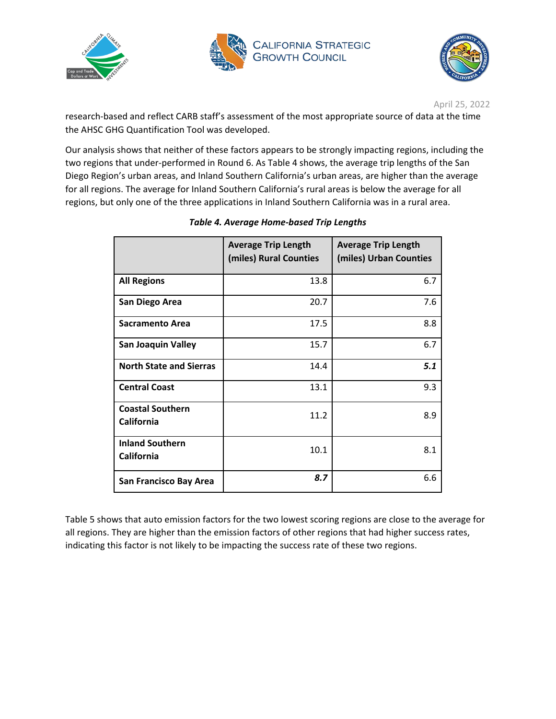





research-based and reflect CARB staff's assessment of the most appropriate source of data at the time the AHSC GHG Quantification Tool was developed.

Our analysis shows that neither of these factors appears to be strongly impacting regions, including the two regions that under-performed in Round 6. As Table 4 shows, the average trip lengths of the San Diego Region's urban areas, and Inland Southern California's urban areas, are higher than the average for all regions. The average for Inland Southern California's rural areas is below the average for all regions, but only one of the three applications in Inland Southern California was in a rural area.

|                                       | <b>Average Trip Length</b><br>(miles) Rural Counties | <b>Average Trip Length</b><br>(miles) Urban Counties |
|---------------------------------------|------------------------------------------------------|------------------------------------------------------|
| <b>All Regions</b>                    | 13.8                                                 | 6.7                                                  |
| San Diego Area                        | 20.7                                                 | 7.6                                                  |
| Sacramento Area                       | 17.5                                                 | 8.8                                                  |
| <b>San Joaquin Valley</b>             | 15.7                                                 | 6.7                                                  |
| <b>North State and Sierras</b>        | 14.4                                                 | 5.1                                                  |
| <b>Central Coast</b>                  | 13.1                                                 | 9.3                                                  |
| <b>Coastal Southern</b><br>California | 11.2                                                 | 8.9                                                  |
| <b>Inland Southern</b><br>California  | 10.1                                                 | 8.1                                                  |
| San Francisco Bay Area                | 8.7                                                  | 6.6                                                  |

### *Table 4. Average Home-based Trip Lengths*

Table 5 shows that auto emission factors for the two lowest scoring regions are close to the average for all regions. They are higher than the emission factors of other regions that had higher success rates, indicating this factor is not likely to be impacting the success rate of these two regions.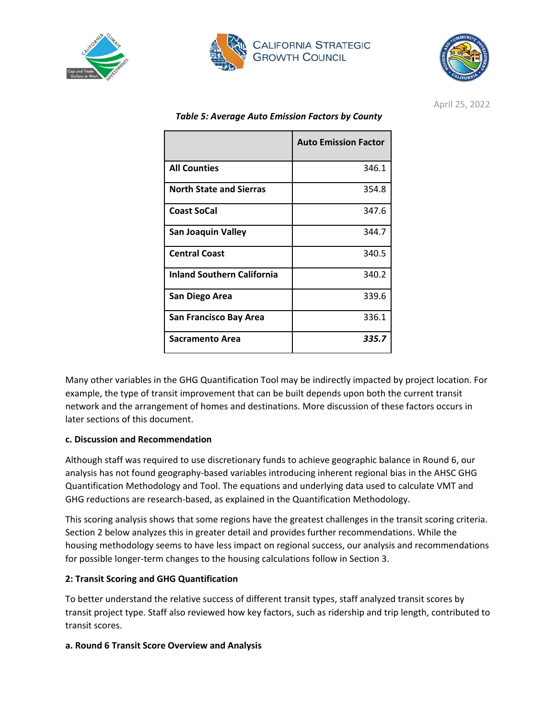





|                                   | <b>Auto Emission Factor</b> |
|-----------------------------------|-----------------------------|
| <b>All Counties</b>               | 346.1                       |
| <b>North State and Sierras</b>    | 354.8                       |
| <b>Coast SoCal</b>                | 347.6                       |
| <b>San Joaquin Valley</b>         | 344.7                       |
| <b>Central Coast</b>              | 340.5                       |
| <b>Inland Southern California</b> | 340.2                       |
| San Diego Area                    | 339.6                       |
| San Francisco Bay Area            | 336.1                       |
| Sacramento Area                   | 335.7                       |

*Table 5: Average Auto Emission Factors by County*

Many other variables in the GHG Quantification Tool may be indirectly impacted by project location. For example, the type of transit improvement that can be built depends upon both the current transit network and the arrangement of homes and destinations. More discussion of these factors occurs in later sections of this document.

### **c. Discussion and Recommendation**

Although staff was required to use discretionary funds to achieve geographic balance in Round 6, our analysis has not found geography-based variables introducing inherent regional bias in the AHSC GHG Quantification Methodology and Tool. The equations and underlying data used to calculate VMT and GHG reductions are research-based, as explained in the Quantification Methodology.

This scoring analysis shows that some regions have the greatest challenges in the transit scoring criteria. Section 2 below analyzes this in greater detail and provides further recommendations. While the housing methodology seems to have less impact on regional success, our analysis and recommendations for possible longer-term changes to the housing calculations follow in Section 3.

### **2: Transit Scoring and GHG Quantification**

To better understand the relative success of different transit types, staff analyzed transit scores by transit project type. Staff also reviewed how key factors, such as ridership and trip length, contributed to transit scores.

### **a. Round 6 Transit Score Overview and Analysis**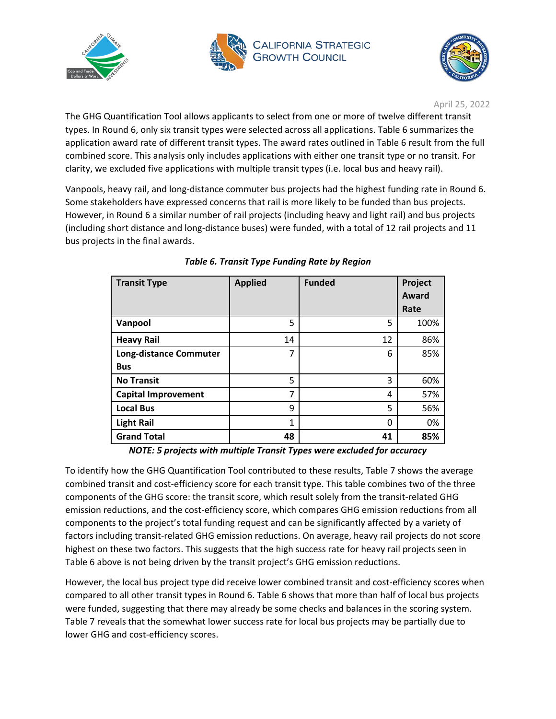





The GHG Quantification Tool allows applicants to select from one or more of twelve different transit types. In Round 6, only six transit types were selected across all applications. Table 6 summarizes the application award rate of different transit types. The award rates outlined in Table 6 result from the full combined score. This analysis only includes applications with either one transit type or no transit. For clarity, we excluded five applications with multiple transit types (i.e. local bus and heavy rail).

Vanpools, heavy rail, and long-distance commuter bus projects had the highest funding rate in Round 6. Some stakeholders have expressed concerns that rail is more likely to be funded than bus projects. However, in Round 6 a similar number of rail projects (including heavy and light rail) and bus projects (including short distance and long-distance buses) were funded, with a total of 12 rail projects and 11 bus projects in the final awards.

| <b>Transit Type</b>           | <b>Applied</b> | <b>Funded</b> | Project |
|-------------------------------|----------------|---------------|---------|
|                               |                |               | Award   |
|                               |                |               | Rate    |
| Vanpool                       | 5              | 5             | 100%    |
| <b>Heavy Rail</b>             | 14             | 12            | 86%     |
| <b>Long-distance Commuter</b> | 7              | 6             | 85%     |
| <b>Bus</b>                    |                |               |         |
| <b>No Transit</b>             | 5              | 3             | 60%     |
| <b>Capital Improvement</b>    | 7              | 4             | 57%     |
| <b>Local Bus</b>              | 9              | 5             | 56%     |
| <b>Light Rail</b>             | 1              | 0             | 0%      |
| <b>Grand Total</b>            | 48             | 41            | 85%     |

### *Table 6. Transit Type Funding Rate by Region*

*NOTE: 5 projects with multiple Transit Types were excluded for accuracy*

To identify how the GHG Quantification Tool contributed to these results, Table 7 shows the average combined transit and cost-efficiency score for each transit type. This table combines two of the three components of the GHG score: the transit score, which result solely from the transit-related GHG emission reductions, and the cost-efficiency score, which compares GHG emission reductions from all components to the project's total funding request and can be significantly affected by a variety of factors including transit-related GHG emission reductions. On average, heavy rail projects do not score highest on these two factors. This suggests that the high success rate for heavy rail projects seen in Table 6 above is not being driven by the transit project's GHG emission reductions.

However, the local bus project type did receive lower combined transit and cost-efficiency scores when compared to all other transit types in Round 6. Table 6 shows that more than half of local bus projects were funded, suggesting that there may already be some checks and balances in the scoring system. Table 7 reveals that the somewhat lower success rate for local bus projects may be partially due to lower GHG and cost-efficiency scores.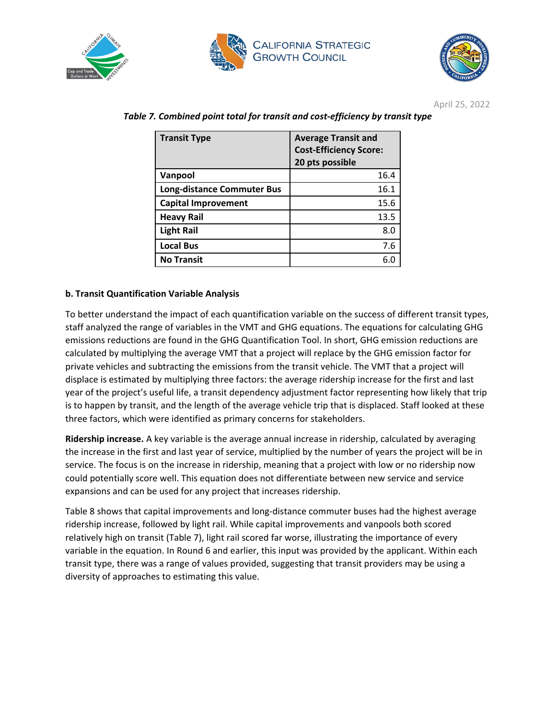





| <b>Transit Type</b>               | <b>Average Transit and</b><br><b>Cost-Efficiency Score:</b><br>20 pts possible |
|-----------------------------------|--------------------------------------------------------------------------------|
| Vanpool                           | 16.4                                                                           |
| <b>Long-distance Commuter Bus</b> | 16.1                                                                           |
| <b>Capital Improvement</b>        | 15.6                                                                           |
| <b>Heavy Rail</b>                 | 13.5                                                                           |
| <b>Light Rail</b>                 | 8.0                                                                            |
| <b>Local Bus</b>                  | 7.6                                                                            |
| <b>No Transit</b>                 |                                                                                |

*Table 7. Combined point total for transit and cost-efficiency by transit type*

#### **b. Transit Quantification Variable Analysis**

To better understand the impact of each quantification variable on the success of different transit types, staff analyzed the range of variables in the VMT and GHG equations. The equations for calculating GHG emissions reductions are found in the GHG Quantification Tool. In short, GHG emission reductions are calculated by multiplying the average VMT that a project will replace by the GHG emission factor for private vehicles and subtracting the emissions from the transit vehicle. The VMT that a project will displace is estimated by multiplying three factors: the average ridership increase for the first and last year of the project's useful life, a transit dependency adjustment factor representing how likely that trip is to happen by transit, and the length of the average vehicle trip that is displaced. Staff looked at these three factors, which were identified as primary concerns for stakeholders.

**Ridership increase.** A key variable is the average annual increase in ridership, calculated by averaging the increase in the first and last year of service, multiplied by the number of years the project will be in service. The focus is on the increase in ridership, meaning that a project with low or no ridership now could potentially score well. This equation does not differentiate between new service and service expansions and can be used for any project that increases ridership.

Table 8 shows that capital improvements and long-distance commuter buses had the highest average ridership increase, followed by light rail. While capital improvements and vanpools both scored relatively high on transit (Table 7), light rail scored far worse, illustrating the importance of every variable in the equation. In Round 6 and earlier, this input was provided by the applicant. Within each transit type, there was a range of values provided, suggesting that transit providers may be using a diversity of approaches to estimating this value.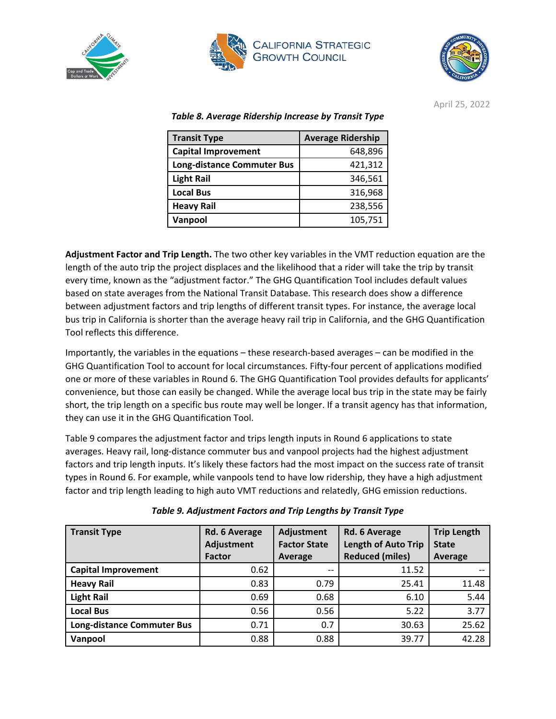





| <b>Transit Type</b>               | <b>Average Ridership</b> |  |
|-----------------------------------|--------------------------|--|
| <b>Capital Improvement</b>        | 648,896                  |  |
| <b>Long-distance Commuter Bus</b> | 421,312                  |  |
| <b>Light Rail</b>                 | 346,561                  |  |
| <b>Local Bus</b>                  | 316,968                  |  |
| <b>Heavy Rail</b>                 | 238,556                  |  |
| Vanpool                           | 105,751                  |  |

*Table 8. Average Ridership Increase by Transit Type*

**Adjustment Factor and Trip Length.** The two other key variables in the VMT reduction equation are the length of the auto trip the project displaces and the likelihood that a rider will take the trip by transit every time, known as the "adjustment factor." The GHG Quantification Tool includes default values based on state averages from the National Transit Database. This research does show a difference between adjustment factors and trip lengths of different transit types. For instance, the average local bus trip in California is shorter than the average heavy rail trip in California, and the GHG Quantification Tool reflects this difference.

Importantly, the variables in the equations – these research-based averages – can be modified in the GHG Quantification Tool to account for local circumstances. Fifty-four percent of applications modified one or more of these variables in Round 6. The GHG Quantification Tool provides defaults for applicants' convenience, but those can easily be changed. While the average local bus trip in the state may be fairly short, the trip length on a specific bus route may well be longer. If a transit agency has that information, they can use it in the GHG Quantification Tool.

Table 9 compares the adjustment factor and trips length inputs in Round 6 applications to state averages. Heavy rail, long-distance commuter bus and vanpool projects had the highest adjustment factors and trip length inputs. It's likely these factors had the most impact on the success rate of transit types in Round 6. For example, while vanpools tend to have low ridership, they have a high adjustment factor and trip length leading to high auto VMT reductions and relatedly, GHG emission reductions.

| <b>Transit Type</b>               | Rd. 6 Average<br>Adjustment<br><b>Factor</b> | Adjustment<br><b>Factor State</b><br>Average | Rd. 6 Average<br><b>Length of Auto Trip</b><br><b>Reduced (miles)</b> | <b>Trip Length</b><br><b>State</b><br>Average |
|-----------------------------------|----------------------------------------------|----------------------------------------------|-----------------------------------------------------------------------|-----------------------------------------------|
| <b>Capital Improvement</b>        | 0.62                                         | $\hspace{0.05cm}$ – $\hspace{0.05cm}$        | 11.52                                                                 |                                               |
| <b>Heavy Rail</b>                 | 0.83                                         | 0.79                                         | 25.41                                                                 | 11.48                                         |
| <b>Light Rail</b>                 | 0.69                                         | 0.68                                         | 6.10                                                                  | 5.44                                          |
| <b>Local Bus</b>                  | 0.56                                         | 0.56                                         | 5.22                                                                  | 3.77                                          |
| <b>Long-distance Commuter Bus</b> | 0.71                                         | 0.7                                          | 30.63                                                                 | 25.62                                         |
| Vanpool                           | 0.88                                         | 0.88                                         | 39.77                                                                 | 42.28                                         |

*Table 9. Adjustment Factors and Trip Lengths by Transit Type*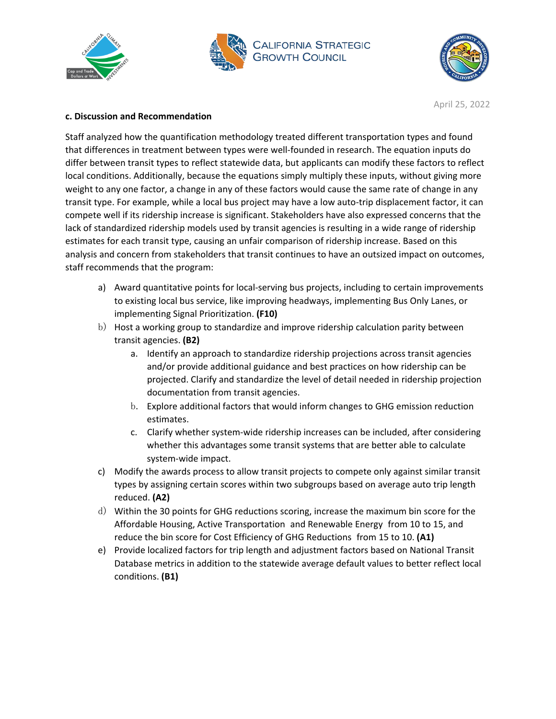





#### **c. Discussion and Recommendation**

Staff analyzed how the quantification methodology treated different transportation types and found that differences in treatment between types were well-founded in research. The equation inputs do differ between transit types to reflect statewide data, but applicants can modify these factors to reflect local conditions. Additionally, because the equations simply multiply these inputs, without giving more weight to any one factor, a change in any of these factors would cause the same rate of change in any transit type. For example, while a local bus project may have a low auto-trip displacement factor, it can compete well if its ridership increase is significant. Stakeholders have also expressed concerns that the lack of standardized ridership models used by transit agencies is resulting in a wide range of ridership estimates for each transit type, causing an unfair comparison of ridership increase. Based on this analysis and concern from stakeholders that transit continues to have an outsized impact on outcomes, staff recommends that the program:

- a) Award quantitative points for local-serving bus projects, including to certain improvements to existing local bus service, like improving headways, implementing Bus Only Lanes, or implementing Signal Prioritization. **(F10)**
- b) Host a working group to standardize and improve ridership calculation parity between transit agencies. **(B2)**
	- a. Identify an approach to standardize ridership projections across transit agencies and/or provide additional guidance and best practices on how ridership can be projected. Clarify and standardize the level of detail needed in ridership projection documentation from transit agencies.
	- b. Explore additional factors that would inform changes to GHG emission reduction estimates.
	- c. Clarify whether system-wide ridership increases can be included, after considering whether this advantages some transit systems that are better able to calculate system-wide impact.
- c) Modify the awards process to allow transit projects to compete only against similar transit types by assigning certain scores within two subgroups based on average auto trip length reduced. **(A2)**
- d) Within the 30 points for GHG reductions scoring, increase the maximum bin score for the Affordable Housing, Active Transportation and Renewable Energy from 10 to 15, and reduce the bin score for Cost Efficiency of GHG Reductions from 15 to 10. **(A1)**
- e) Provide localized factors for trip length and adjustment factors based on National Transit Database metrics in addition to the statewide average default values to better reflect local conditions. **(B1)**